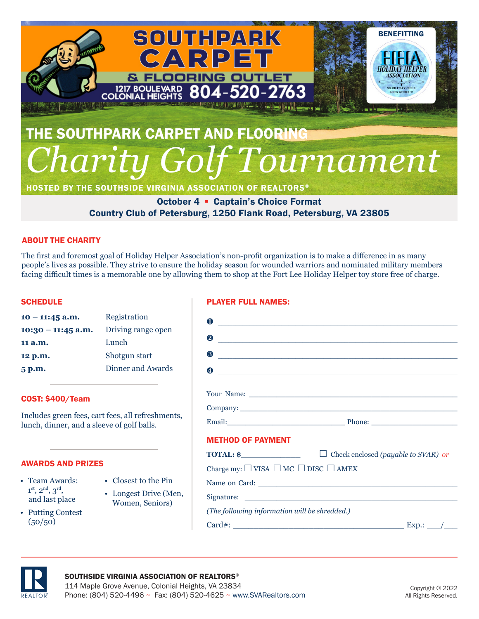

HOSTED BY THE SOUTHSIDE VIRGINIA ASSOCIATION OF REALTORS®

October 4 ▪ Captain's Choice Format Country Club of Petersburg, 1250 Flank Road, Petersburg, VA 23805

## ABOUT THE CHARITY

The first and foremost goal of Holiday Helper Association's non-profit organization is to make a difference in as many people's lives as possible. They strive to ensure the holiday season for wounded warriors and nominated military members facing difficult times is a memorable one by allowing them to shop at the Fort Lee Holiday Helper toy store free of charge.

### **SCHEDULE**

| $10 - 11:45$ a.m.    | Registration       |
|----------------------|--------------------|
| $10:30 - 11:45$ a.m. | Driving range open |
| 11 a.m.              | Lunch              |
| 12 p.m.              | Shotgun start      |
| 5 p.m.               | Dinner and Awards  |

## COST: \$400/Team

Includes green fees, cart fees, all refreshments, lunch, dinner, and a sleeve of golf balls.

#### AWARDS AND PRIZES

- Team Awards:  $1^{\text{st}}, 2^{\text{nd}}, 3^{\text{rd}},$ and last place
- Putting Contest  $(50/50)$
- Closest to the Pin
- Longest Drive (Men, Women, Seniors)
	-
- -



## PLAYER FULL NAMES:

| O                                                                                                             | <u> 1980 - Johann Stein, marwolaethau (b. 1980)</u>                                                                  |
|---------------------------------------------------------------------------------------------------------------|----------------------------------------------------------------------------------------------------------------------|
| 2                                                                                                             | <u> 1989 - Johann Barn, amerikan besteman besteman besteman besteman besteman besteman besteman besteman bestema</u> |
| 8                                                                                                             | <u> Alexandria de la contrada de la contrada de la contrada de la contrada de la contrada de la contrada de la c</u> |
| A                                                                                                             | <u> 1980 - Antonio Alemania, presidente de la contrada de la contrada de la contrada de la contrada de la contra</u> |
|                                                                                                               |                                                                                                                      |
|                                                                                                               |                                                                                                                      |
| Email: Phone: Phone: 2008. 2009. 2010. 2010. 2010. 2010. 2010. 2010. 2010. 2010. 2010. 2010. 2010. 2010. 2010 |                                                                                                                      |
| <b>METHOD OF PAYMENT</b>                                                                                      |                                                                                                                      |
| $\text{TOTAL: }$ $\text{\$}$                                                                                  | $\Box$<br>Check enclosed (payable to SVAR) or                                                                        |
| Charge my: $\Box$ VISA $\Box$ MC $\Box$ DISC $\Box$ AMEX                                                      |                                                                                                                      |
|                                                                                                               |                                                                                                                      |
|                                                                                                               |                                                                                                                      |
| (The following information will be shredded.)                                                                 |                                                                                                                      |
|                                                                                                               | $Card\#$ : Exp.: $\angle$                                                                                            |
|                                                                                                               |                                                                                                                      |